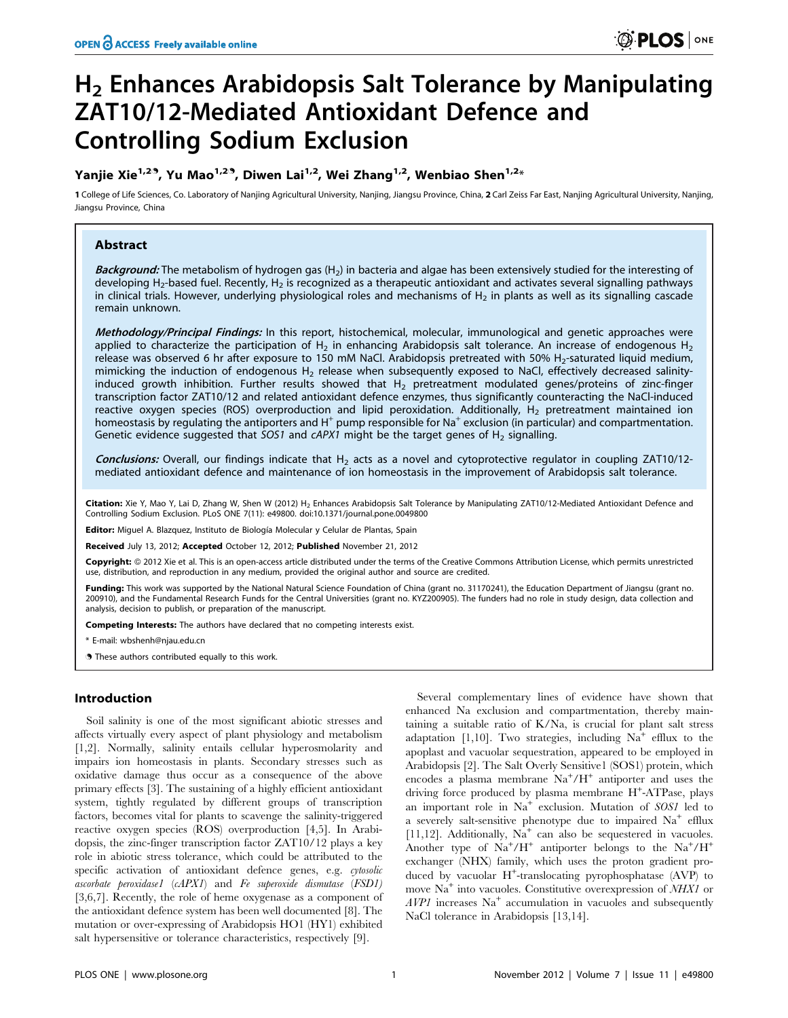# H<sub>2</sub> Enhances Arabidopsis Salt Tolerance by Manipulating ZAT10/12-Mediated Antioxidant Defence and Controlling Sodium Exclusion

# Yanjie Xie<sup>1,29</sup>, Yu Mao<sup>1,29</sup>, Diwen Lai<sup>1,2</sup>, Wei Zhang<sup>1,2</sup>, Wenbiao Shen<sup>1,2\*</sup>

1 College of Life Sciences, Co. Laboratory of Nanjing Agricultural University, Nanjing, Jiangsu Province, China, 2 Carl Zeiss Far East, Nanjing Agricultural University, Nanjing, Jiangsu Province, China

# Abstract

**Background:** The metabolism of hydrogen gas  $(H<sub>2</sub>)$  in bacteria and algae has been extensively studied for the interesting of developing H<sub>2</sub>-based fuel. Recently, H<sub>2</sub> is recognized as a therapeutic antioxidant and activates several signalling pathways in clinical trials. However, underlying physiological roles and mechanisms of  $H_2$  in plants as well as its signalling cascade remain unknown.

Methodology/Principal Findings: In this report, histochemical, molecular, immunological and genetic approaches were applied to characterize the participation of H<sub>2</sub> in enhancing Arabidopsis salt tolerance. An increase of endogenous H<sub>2</sub> release was observed 6 hr after exposure to 150 mM NaCl. Arabidopsis pretreated with 50% H2-saturated liquid medium, mimicking the induction of endogenous  $H_2$  release when subsequently exposed to NaCl, effectively decreased salinityinduced growth inhibition. Further results showed that  $H_2$  pretreatment modulated genes/proteins of zinc-finger transcription factor ZAT10/12 and related antioxidant defence enzymes, thus significantly counteracting the NaCl-induced reactive oxygen species (ROS) overproduction and lipid peroxidation. Additionally,  $H<sub>2</sub>$  pretreatment maintained ion homeostasis by regulating the antiporters and  $H^+$  pump responsible for Na<sup>+</sup> exclusion (in particular) and compartmentation. Genetic evidence suggested that SOS1 and cAPX1 might be the target genes of  $H_2$  signalling.

**Conclusions:** Overall, our findings indicate that  $H_2$  acts as a novel and cytoprotective regulator in coupling ZAT10/12mediated antioxidant defence and maintenance of ion homeostasis in the improvement of Arabidopsis salt tolerance.

Citation: Xie Y, Mao Y, Lai D, Zhang W, Shen W (2012) H<sub>2</sub> Enhances Arabidopsis Salt Tolerance by Manipulating ZAT10/12-Mediated Antioxidant Defence and Controlling Sodium Exclusion. PLoS ONE 7(11): e49800. doi:10.1371/journal.pone.0049800

Editor: Miguel A. Blazquez, Instituto de Biología Molecular y Celular de Plantas, Spain

Received July 13, 2012; Accepted October 12, 2012; Published November 21, 2012

Copyright: @ 2012 Xie et al. This is an open-access article distributed under the terms of the Creative Commons Attribution License, which permits unrestricted use, distribution, and reproduction in any medium, provided the original author and source are credited.

Funding: This work was supported by the National Natural Science Foundation of China (grant no. 31170241), the Education Department of Jiangsu (grant no. 200910), and the Fundamental Research Funds for the Central Universities (grant no. KYZ200905). The funders had no role in study design, data collection and analysis, decision to publish, or preparation of the manuscript.

Competing Interests: The authors have declared that no competing interests exist.

\* E-mail: wbshenh@njau.edu.cn

. These authors contributed equally to this work.

# Introduction

Soil salinity is one of the most significant abiotic stresses and affects virtually every aspect of plant physiology and metabolism [1,2]. Normally, salinity entails cellular hyperosmolarity and impairs ion homeostasis in plants. Secondary stresses such as oxidative damage thus occur as a consequence of the above primary effects [3]. The sustaining of a highly efficient antioxidant system, tightly regulated by different groups of transcription factors, becomes vital for plants to scavenge the salinity-triggered reactive oxygen species (ROS) overproduction [4,5]. In Arabidopsis, the zinc-finger transcription factor ZAT10/12 plays a key role in abiotic stress tolerance, which could be attributed to the specific activation of antioxidant defence genes, e.g. cytosolic ascorbate peroxidase1 (cAPX1) and Fe superoxide dismutase (FSD1) [3,6,7]. Recently, the role of heme oxygenase as a component of the antioxidant defence system has been well documented [8]. The mutation or over-expressing of Arabidopsis HO1 (HY1) exhibited salt hypersensitive or tolerance characteristics, respectively [9].

Several complementary lines of evidence have shown that enhanced Na exclusion and compartmentation, thereby maintaining a suitable ratio of K/Na, is crucial for plant salt stress adaptation [1,10]. Two strategies, including  $Na<sup>+</sup>$  efflux to the apoplast and vacuolar sequestration, appeared to be employed in Arabidopsis [2]. The Salt Overly Sensitive1 (SOS1) protein, which encodes a plasma membrane  $\mathrm{Na^+/H^+}$  antiporter and uses the driving force produced by plasma membrane H<sup>+</sup>-ATPase, plays an important role in  $Na<sup>+</sup>$  exclusion. Mutation of *SOS1* led to a severely salt-sensitive phenotype due to impaired  $Na<sup>+</sup>$  efflux [11,12]. Additionally,  $Na<sup>+</sup>$  can also be sequestered in vacuoles. Another type of  $\text{Na}^+/\text{H}^+$  antiporter belongs to the  $\text{Na}^+/\text{H}^+$ exchanger (NHX) family, which uses the proton gradient produced by vacuolar H<sup>+</sup>-translocating pyrophosphatase (AVP) to move Na<sup>+</sup> into vacuoles. Constitutive overexpression of NHX1 or  $AVPI$  increases  $Na<sup>+</sup>$  accumulation in vacuoles and subsequently NaCl tolerance in Arabidopsis [13,14].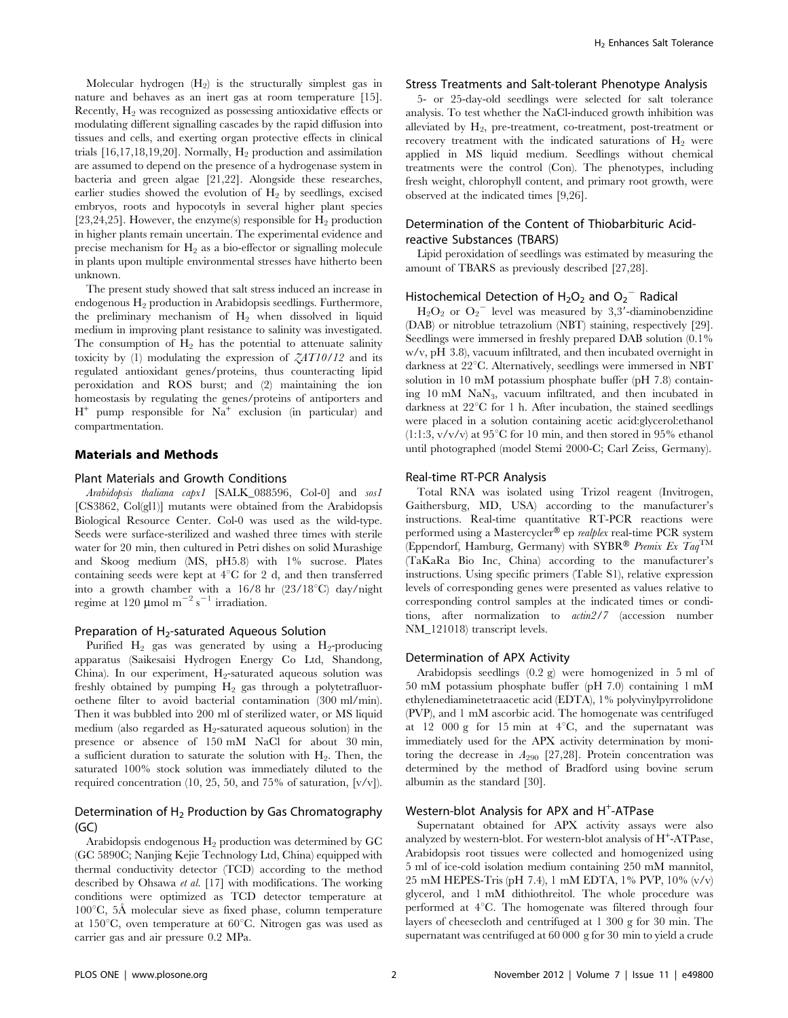Molecular hydrogen  $(H_2)$  is the structurally simplest gas in nature and behaves as an inert gas at room temperature [15]. Recently,  $H_2$  was recognized as possessing antioxidative effects or modulating different signalling cascades by the rapid diffusion into tissues and cells, and exerting organ protective effects in clinical trials  $[16,17,18,19,20]$ . Normally,  $H_2$  production and assimilation are assumed to depend on the presence of a hydrogenase system in bacteria and green algae [21,22]. Alongside these researches, earlier studies showed the evolution of  $H_2$  by seedlings, excised embryos, roots and hypocotyls in several higher plant species [23,24,25]. However, the enzyme(s) responsible for  $H_2$  production in higher plants remain uncertain. The experimental evidence and precise mechanism for  $H_2$  as a bio-effector or signalling molecule in plants upon multiple environmental stresses have hitherto been unknown.

The present study showed that salt stress induced an increase in endogenous H2 production in Arabidopsis seedlings. Furthermore, the preliminary mechanism of  $H_2$  when dissolved in liquid medium in improving plant resistance to salinity was investigated. The consumption of  $H_2$  has the potential to attenuate salinity toxicity by (1) modulating the expression of  $ZAT10/12$  and its regulated antioxidant genes/proteins, thus counteracting lipid peroxidation and ROS burst; and (2) maintaining the ion homeostasis by regulating the genes/proteins of antiporters and  $H^+$  pump responsible for  $Na^+$  exclusion (in particular) and compartmentation.

# Materials and Methods

#### Plant Materials and Growth Conditions

Arabidopsis thaliana capx1 [SALK\_088596, Col-0] and sos1 [CS3862, Col(gl1)] mutants were obtained from the Arabidopsis Biological Resource Center. Col-0 was used as the wild-type. Seeds were surface-sterilized and washed three times with sterile water for 20 min, then cultured in Petri dishes on solid Murashige and Skoog medium (MS, pH5.8) with 1% sucrose. Plates containing seeds were kept at  $4^{\circ}$ C for 2 d, and then transferred into a growth chamber with a  $16/8$  hr  $(23/18^{\circ}\text{C})$  day/night regime at 120  $\mu$ mol m<sup>-2</sup> s<sup>-1</sup> irradiation.

#### Preparation of  $H_2$ -saturated Aqueous Solution

Purified  $H_2$  gas was generated by using a  $H_2$ -producing apparatus (Saikesaisi Hydrogen Energy Co Ltd, Shandong, China). In our experiment,  $H_2$ -saturated aqueous solution was freshly obtained by pumping  $H_2$  gas through a polytetrafluoroethene filter to avoid bacterial contamination (300 ml/min). Then it was bubbled into 200 ml of sterilized water, or MS liquid medium (also regarded as  $H_2$ -saturated aqueous solution) in the presence or absence of 150 mM NaCl for about 30 min, a sufficient duration to saturate the solution with  $H_2$ . Then, the saturated 100% stock solution was immediately diluted to the required concentration (10, 25, 50, and 75% of saturation,  $[v/v]$ ).

## Determination of  $H_2$  Production by Gas Chromatography  $(GC)$

Arabidopsis endogenous  $H_2$  production was determined by GC (GC 5890C; Nanjing Kejie Technology Ltd, China) equipped with thermal conductivity detector (TCD) according to the method described by Ohsawa et al. [17] with modifications. The working conditions were optimized as TCD detector temperature at  $100^{\circ}$ C, 5Å molecular sieve as fixed phase, column temperature at  $150^{\circ}$ C, oven temperature at  $60^{\circ}$ C. Nitrogen gas was used as carrier gas and air pressure 0.2 MPa.

#### Stress Treatments and Salt-tolerant Phenotype Analysis

5- or 25-day-old seedlings were selected for salt tolerance analysis. To test whether the NaCl-induced growth inhibition was alleviated by H<sub>2</sub>, pre-treatment, co-treatment, post-treatment or recovery treatment with the indicated saturations of  $H_2$  were applied in MS liquid medium. Seedlings without chemical treatments were the control (Con). The phenotypes, including fresh weight, chlorophyll content, and primary root growth, were observed at the indicated times [9,26].

# Determination of the Content of Thiobarbituric Acidreactive Substances (TBARS)

Lipid peroxidation of seedlings was estimated by measuring the amount of TBARS as previously described [27,28].

# Histochemical Detection of  $H_2O_2$  and  $O_2$ <sup>-</sup> Radical

 $H_2O_2$  or  $O_2$ <sup>-</sup> level was measured by 3,3'-diaminobenzidine (DAB) or nitroblue tetrazolium (NBT) staining, respectively [29]. Seedlings were immersed in freshly prepared DAB solution (0.1% w/v, pH 3.8), vacuum infiltrated, and then incubated overnight in darkness at 22°C. Alternatively, seedlings were immersed in NBT solution in 10 mM potassium phosphate buffer (pH 7.8) containing 10 mM NaN3, vacuum infiltrated, and then incubated in darkness at  $22^{\circ}$ C for 1 h. After incubation, the stained seedlings were placed in a solution containing acetic acid:glycerol:ethanol  $(1:1:3, v/v/v)$  at 95<sup>°</sup>C for 10 min, and then stored in 95% ethanol until photographed (model Stemi 2000-C; Carl Zeiss, Germany).

# Real-time RT-PCR Analysis

Total RNA was isolated using Trizol reagent (Invitrogen, Gaithersburg, MD, USA) according to the manufacturer's instructions. Real-time quantitative RT-PCR reactions were performed using a Mastercycler® ep realplex real-time PCR system (Eppendorf, Hamburg, Germany) with SYBR® Premix Ex  $Taq^{TM}$ (TaKaRa Bio Inc, China) according to the manufacturer's instructions. Using specific primers (Table S1), relative expression levels of corresponding genes were presented as values relative to corresponding control samples at the indicated times or conditions, after normalization to actin2/7 (accession number NM\_121018) transcript levels.

#### Determination of APX Activity

Arabidopsis seedlings (0.2 g) were homogenized in 5 ml of 50 mM potassium phosphate buffer (pH 7.0) containing 1 mM ethylenediaminetetraacetic acid (EDTA), 1% polyvinylpyrrolidone (PVP), and 1 mM ascorbic acid. The homogenate was centrifuged at 12 000 g for 15 min at  $4^{\circ}$ C, and the supernatant was immediately used for the APX activity determination by monitoring the decrease in  $A_{290}$  [27,28]. Protein concentration was determined by the method of Bradford using bovine serum albumin as the standard [30].

# Western-blot Analysis for APX and H<sup>+</sup>-ATPase

Supernatant obtained for APX activity assays were also analyzed by western-blot. For western-blot analysis of  $H^+$ -ATPase, Arabidopsis root tissues were collected and homogenized using 5 ml of ice-cold isolation medium containing 250 mM mannitol, 25 mM HEPES-Tris (pH 7.4), 1 mM EDTA, 1% PVP, 10% (v/v) glycerol, and 1 mM dithiothreitol. The whole procedure was performed at  $4^{\circ}$ C. The homogenate was filtered through four layers of cheesecloth and centrifuged at 1 300 g for 30 min. The supernatant was centrifuged at 60 000 g for 30 min to yield a crude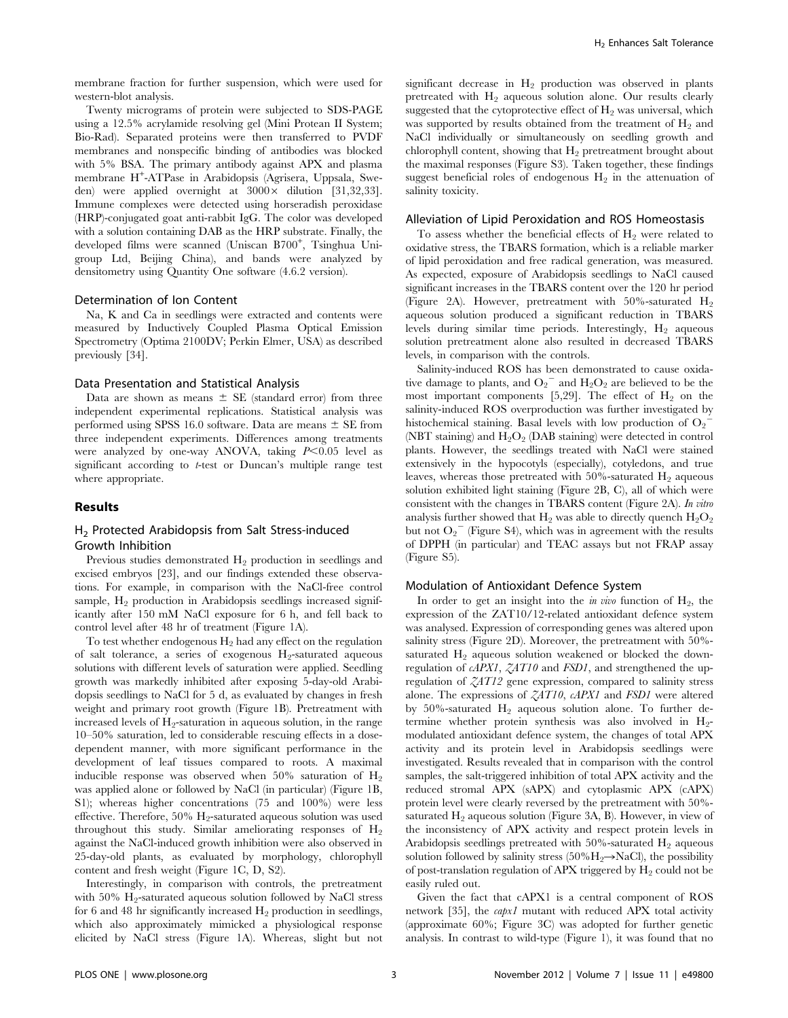membrane fraction for further suspension, which were used for western-blot analysis.

Twenty micrograms of protein were subjected to SDS-PAGE using a 12.5% acrylamide resolving gel (Mini Protean II System; Bio-Rad). Separated proteins were then transferred to PVDF membranes and nonspecific binding of antibodies was blocked with 5% BSA. The primary antibody against APX and plasma membrane H<sup>+</sup> -ATPase in Arabidopsis (Agrisera, Uppsala, Sweden) were applied overnight at  $3000 \times$  dilution [31,32,33]. Immune complexes were detected using horseradish peroxidase (HRP)-conjugated goat anti-rabbit IgG. The color was developed with a solution containing DAB as the HRP substrate. Finally, the developed films were scanned (Uniscan B700<sup>+</sup>, Tsinghua Unigroup Ltd, Beijing China), and bands were analyzed by densitometry using Quantity One software (4.6.2 version).

#### Determination of Ion Content

Na, K and Ca in seedlings were extracted and contents were measured by Inductively Coupled Plasma Optical Emission Spectrometry (Optima 2100DV; Perkin Elmer, USA) as described previously [34].

#### Data Presentation and Statistical Analysis

Data are shown as means  $\pm$  SE (standard error) from three independent experimental replications. Statistical analysis was performed using SPSS 16.0 software. Data are means  $\pm$  SE from three independent experiments. Differences among treatments were analyzed by one-way ANOVA, taking  $P<0.05$  level as significant according to *t*-test or Duncan's multiple range test where appropriate.

#### Results

#### H<sub>2</sub> Protected Arabidopsis from Salt Stress-induced Growth Inhibition

Previous studies demonstrated  $H_2$  production in seedlings and excised embryos [23], and our findings extended these observations. For example, in comparison with the NaCl-free control sample,  $H<sub>2</sub>$  production in Arabidopsis seedlings increased significantly after 150 mM NaCl exposure for 6 h, and fell back to control level after 48 hr of treatment (Figure 1A).

To test whether endogenous  $H_2$  had any effect on the regulation of salt tolerance, a series of exogenous  $H_2$ -saturated aqueous solutions with different levels of saturation were applied. Seedling growth was markedly inhibited after exposing 5-day-old Arabidopsis seedlings to NaCl for 5 d, as evaluated by changes in fresh weight and primary root growth (Figure 1B). Pretreatment with increased levels of  $H_2$ -saturation in aqueous solution, in the range 10–50% saturation, led to considerable rescuing effects in a dosedependent manner, with more significant performance in the development of leaf tissues compared to roots. A maximal inducible response was observed when 50% saturation of  $H_2$ was applied alone or followed by NaCl (in particular) (Figure 1B, S1); whereas higher concentrations (75 and 100%) were less effective. Therefore,  $50\%$  H<sub>2</sub>-saturated aqueous solution was used throughout this study. Similar ameliorating responses of  $H_2$ against the NaCl-induced growth inhibition were also observed in 25-day-old plants, as evaluated by morphology, chlorophyll content and fresh weight (Figure 1C, D, S2).

Interestingly, in comparison with controls, the pretreatment with 50%  $H_2$ -saturated aqueous solution followed by NaCl stress for 6 and 48 hr significantly increased  $H_2$  production in seedlings, which also approximately mimicked a physiological response elicited by NaCl stress (Figure 1A). Whereas, slight but not significant decrease in  $H_2$  production was observed in plants pretreated with  $H_2$  aqueous solution alone. Our results clearly suggested that the cytoprotective effect of  $H_2$  was universal, which was supported by results obtained from the treatment of  $H_2$  and NaCl individually or simultaneously on seedling growth and chlorophyll content, showing that  $H_2$  pretreatment brought about the maximal responses (Figure S3). Taken together, these findings suggest beneficial roles of endogenous  $H_2$  in the attenuation of salinity toxicity.

#### Alleviation of Lipid Peroxidation and ROS Homeostasis

To assess whether the beneficial effects of  $H<sub>2</sub>$  were related to oxidative stress, the TBARS formation, which is a reliable marker of lipid peroxidation and free radical generation, was measured. As expected, exposure of Arabidopsis seedlings to NaCl caused significant increases in the TBARS content over the 120 hr period (Figure 2A). However, pretreatment with 50%-saturated  $H_2$ aqueous solution produced a significant reduction in TBARS levels during similar time periods. Interestingly,  $H_2$  aqueous solution pretreatment alone also resulted in decreased TBARS levels, in comparison with the controls.

Salinity-induced ROS has been demonstrated to cause oxidative damage to plants, and  $O_2$ <sup>-</sup> and  $H_2O_2$  are believed to be the most important components [5,29]. The effect of  $H_2$  on the salinity-induced ROS overproduction was further investigated by histochemical staining. Basal levels with low production of  $O_2$ (NBT staining) and  $H_2O_2$  (DAB staining) were detected in control plants. However, the seedlings treated with NaCl were stained extensively in the hypocotyls (especially), cotyledons, and true leaves, whereas those pretreated with  $50\%$ -saturated  $H_2$  aqueous solution exhibited light staining (Figure 2B, C), all of which were consistent with the changes in TBARS content (Figure 2A). In vitro analysis further showed that  $H_2$  was able to directly quench  $H_2O_2$ but not  $O_2$ <sup>-</sup> (Figure S4), which was in agreement with the results of DPPH (in particular) and TEAC assays but not FRAP assay (Figure S5).

#### Modulation of Antioxidant Defence System

In order to get an insight into the *in vivo* function of  $H_2$ , the expression of the ZAT10/12-related antioxidant defence system was analysed. Expression of corresponding genes was altered upon salinity stress (Figure 2D). Moreover, the pretreatment with 50% saturated  $H<sub>2</sub>$  aqueous solution weakened or blocked the downregulation of cAPX1,  $ZAT10$  and FSD1, and strengthened the upregulation of ZAT12 gene expression, compared to salinity stress alone. The expressions of ZAT10, cAPX1 and FSD1 were altered by 50%-saturated  $H_2$  aqueous solution alone. To further determine whether protein synthesis was also involved in  $H_2$ modulated antioxidant defence system, the changes of total APX activity and its protein level in Arabidopsis seedlings were investigated. Results revealed that in comparison with the control samples, the salt-triggered inhibition of total APX activity and the reduced stromal APX (sAPX) and cytoplasmic APX (cAPX) protein level were clearly reversed by the pretreatment with 50% saturated  $H_2$  aqueous solution (Figure 3A, B). However, in view of the inconsistency of APX activity and respect protein levels in Arabidopsis seedlings pretreated with  $50\%$ -saturated  $H_2$  aqueous solution followed by salinity stress (50% $H_2 \rightarrow NaCl$ ), the possibility of post-translation regulation of APX triggered by  $H_2$  could not be easily ruled out.

Given the fact that cAPX1 is a central component of ROS network [35], the *capx1* mutant with reduced APX total activity (approximate 60%; Figure 3C) was adopted for further genetic analysis. In contrast to wild-type (Figure 1), it was found that no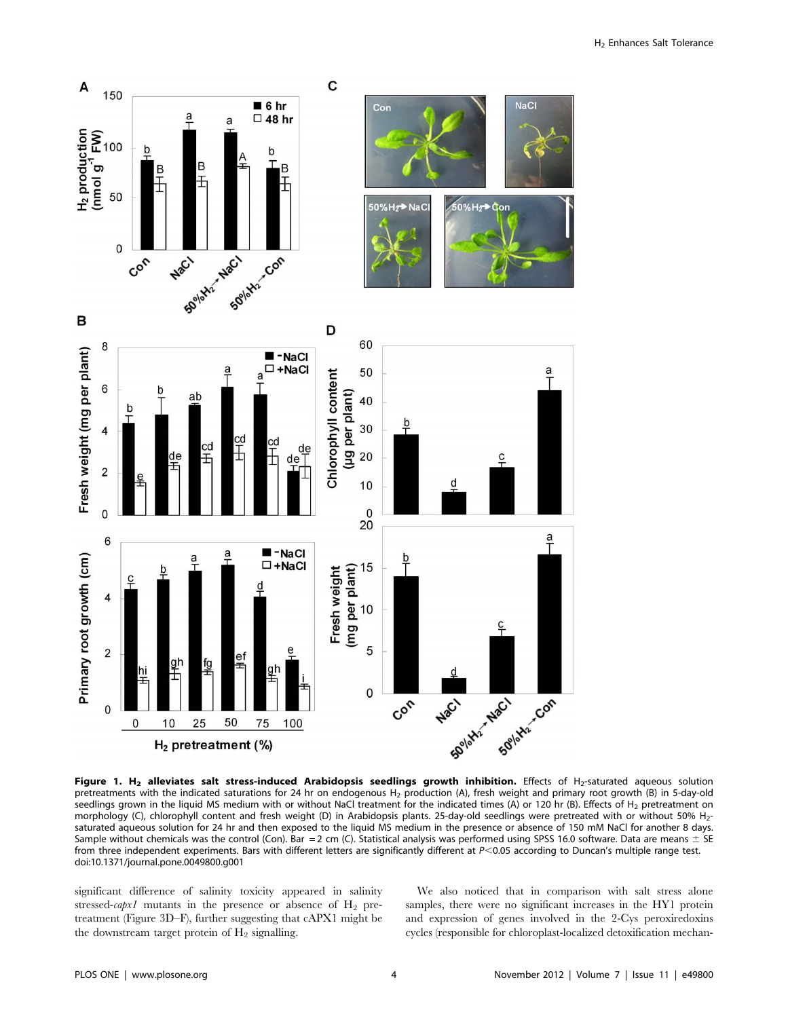

Figure 1. H<sub>2</sub> alleviates salt stress-induced Arabidopsis seedlings growth inhibition. Effects of H<sub>2</sub>-saturated aqueous solution pretreatments with the indicated saturations for 24 hr on endogenous  $H_2$  production (A), fresh weight and primary root growth (B) in 5-day-old seedlings grown in the liquid MS medium with or without NaCl treatment for the indicated times (A) or 120 hr (B). Effects of H<sub>2</sub> pretreatment on morphology (C), chlorophyll content and fresh weight (D) in Arabidopsis plants. 25-day-old seedlings were pretreated with or without 50% H<sub>2</sub>saturated aqueous solution for 24 hr and then exposed to the liquid MS medium in the presence or absence of 150 mM NaCl for another 8 days. Sample without chemicals was the control (Con). Bar = 2 cm (C). Statistical analysis was performed using SPSS 16.0 software. Data are means  $\pm$  SE from three independent experiments. Bars with different letters are significantly different at  $P<0.05$  according to Duncan's multiple range test. doi:10.1371/journal.pone.0049800.g001

significant difference of salinity toxicity appeared in salinity stressed-capx1 mutants in the presence or absence of  $H_2$  pretreatment (Figure 3D–F), further suggesting that cAPX1 might be the downstream target protein of  $H_2$  signalling.

We also noticed that in comparison with salt stress alone samples, there were no significant increases in the HY1 protein and expression of genes involved in the 2-Cys peroxiredoxins cycles (responsible for chloroplast-localized detoxification mechan-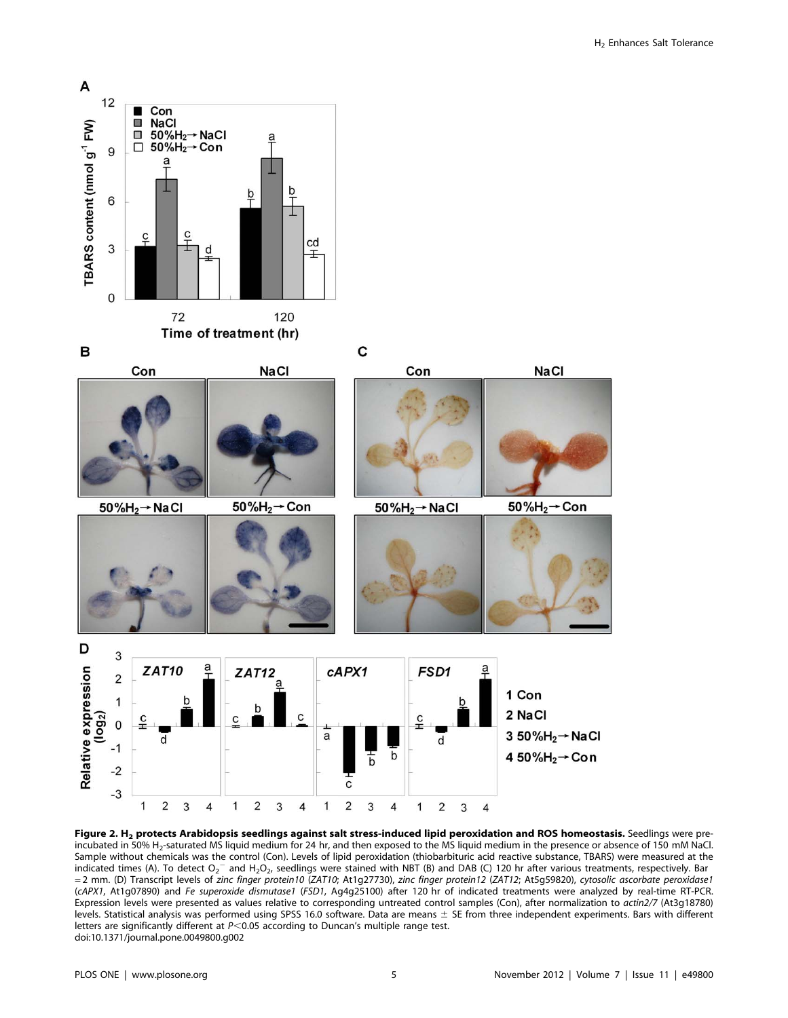

Figure 2. H<sub>2</sub> protects Arabidopsis seedlings against salt stress-induced lipid peroxidation and ROS homeostasis. Seedlings were preincubated in 50% H<sub>2</sub>-saturated MS liquid medium for 24 hr, and then exposed to the MS liquid medium in the presence or absence of 150 mM NaCl. Sample without chemicals was the control (Con). Levels of lipid peroxidation (thiobarbituric acid reactive substance, TBARS) were measured at the indicated times (A). To detect  $O_2$ <sup>-</sup> and H<sub>2</sub>O<sub>2</sub>, seedlings were stained with NBT (B) and DAB (C) 120 hr after various treatments, respectively. Bar = 2 mm. (D) Transcript levels of zinc finger protein10 (ZAT10; At1g27730), zinc finger protein12 (ZAT12; At5g59820), cytosolic ascorbate peroxidase1 (cAPX1, At1g07890) and Fe superoxide dismutase1 (FSD1, Ag4g25100) after 120 hr of indicated treatments were analyzed by real-time RT-PCR. Expression levels were presented as values relative to corresponding untreated control samples (Con), after normalization to actin2/7 (At3g18780) levels. Statistical analysis was performed using SPSS 16.0 software. Data are means  $\pm$  SE from three independent experiments. Bars with different letters are significantly different at  $P<0.05$  according to Duncan's multiple range test. doi:10.1371/journal.pone.0049800.g002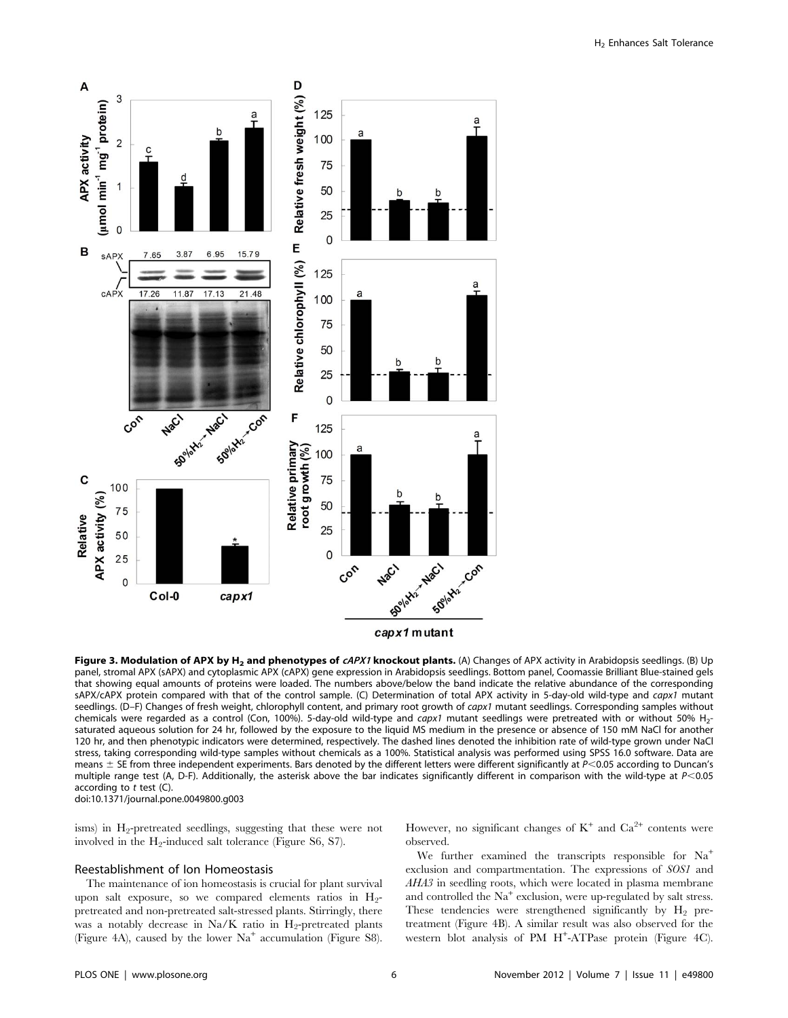

Figure 3. Modulation of APX by H<sub>2</sub> and phenotypes of  $cAPX1$  knockout plants. (A) Changes of APX activity in Arabidopsis seedlings. (B) Up panel, stromal APX (sAPX) and cytoplasmic APX (cAPX) gene expression in Arabidopsis seedlings. Bottom panel, Coomassie Brilliant Blue-stained gels that showing equal amounts of proteins were loaded. The numbers above/below the band indicate the relative abundance of the corresponding sAPX/cAPX protein compared with that of the control sample. (C) Determination of total APX activity in 5-day-old wild-type and capx1 mutant seedlings. (D–F) Changes of fresh weight, chlorophyll content, and primary root growth of capx1 mutant seedlings. Corresponding samples without chemicals were regarded as a control (Con, 100%). 5-day-old wild-type and capx1 mutant seedlings were pretreated with or without 50% H<sub>2</sub>saturated aqueous solution for 24 hr, followed by the exposure to the liquid MS medium in the presence or absence of 150 mM NaCl for another 120 hr, and then phenotypic indicators were determined, respectively. The dashed lines denoted the inhibition rate of wild-type grown under NaCl stress, taking corresponding wild-type samples without chemicals as a 100%. Statistical analysis was performed using SPSS 16.0 software. Data are means  $\pm$  SE from three independent experiments. Bars denoted by the different letters were different significantly at  $P$ <0.05 according to Duncan's multiple range test (A, D-F). Additionally, the asterisk above the bar indicates significantly different in comparison with the wild-type at P<0.05 according to  $t$  test  $(C)$ . doi:10.1371/journal.pone.0049800.g003

isms) in  $H_2$ -pretreated seedlings, suggesting that these were not involved in the  $H_2$ -induced salt tolerance (Figure S6, S7).

#### Reestablishment of Ion Homeostasis

The maintenance of ion homeostasis is crucial for plant survival upon salt exposure, so we compared elements ratios in  $H_2$ pretreated and non-pretreated salt-stressed plants. Stirringly, there was a notably decrease in Na/K ratio in  $H_2$ -pretreated plants (Figure 4A), caused by the lower  $Na<sup>+</sup>$  accumulation (Figure S8). However, no significant changes of  $K^+$  and  $Ca^{2+}$  contents were observed.

We further examined the transcripts responsible for  $Na^+$ exclusion and compartmentation. The expressions of SOS1 and AHA3 in seedling roots, which were located in plasma membrane and controlled the  $Na<sup>+</sup>$  exclusion, were up-regulated by salt stress. These tendencies were strengthened significantly by  $H_2$  pretreatment (Figure 4B). A similar result was also observed for the western blot analysis of PM H<sup>+</sup> -ATPase protein (Figure 4C).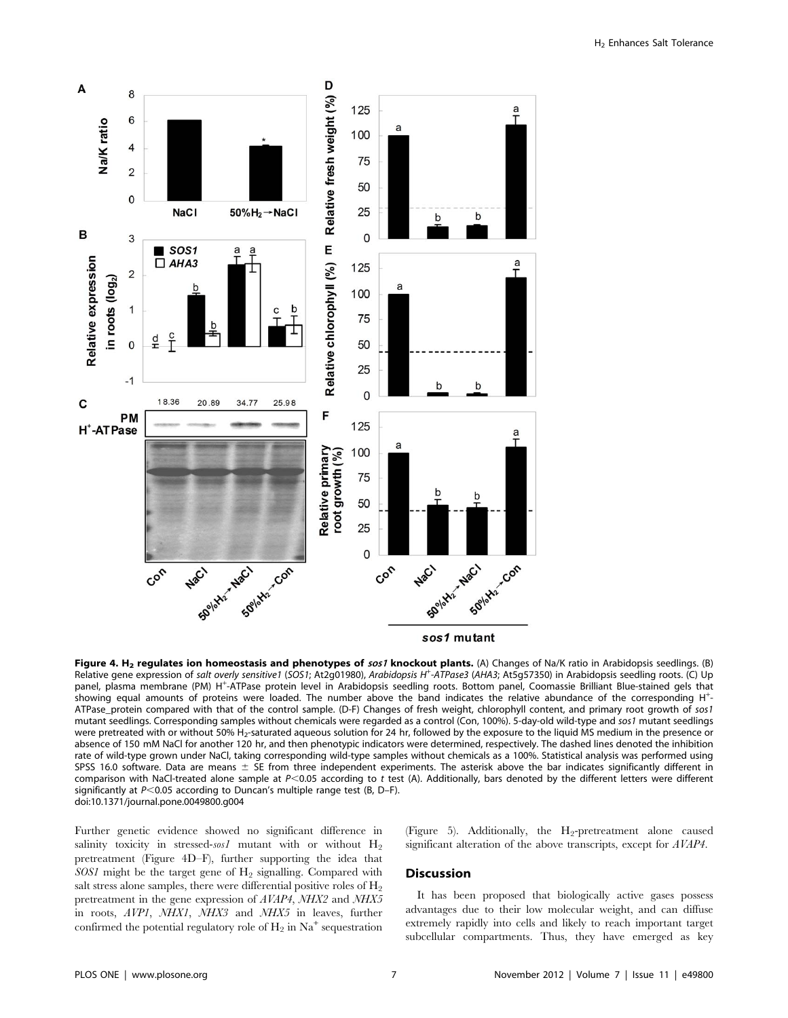

Figure 4. H<sub>2</sub> regulates ion homeostasis and phenotypes of sos1 knockout plants. (A) Changes of Na/K ratio in Arabidopsis seedlings. (B) Relative gene expression of salt overly sensitive1 (SOS1; At2g01980), Arabidopsis H<sup>+</sup>-ATPase3 (AHA3; At5g57350) in Arabidopsis seedling roots. (C) Up panel, plasma membrane (PM) H<sup>+</sup> -ATPase protein level in Arabidopsis seedling roots. Bottom panel, Coomassie Brilliant Blue-stained gels that showing equal amounts of proteins were loaded. The number above the band indicates the relative abundance of the corresponding H<sup>+</sup> - ATPase protein compared with that of the control sample. (D-F) Changes of fresh weight, chlorophyll content, and primary root growth of sos1 mutant seedlings. Corresponding samples without chemicals were regarded as a control (Con, 100%). 5-day-old wild-type and sos1 mutant seedlings were pretreated with or without 50% H<sub>2</sub>-saturated aqueous solution for 24 hr, followed by the exposure to the liquid MS medium in the presence or absence of 150 mM NaCl for another 120 hr, and then phenotypic indicators were determined, respectively. The dashed lines denoted the inhibition rate of wild-type grown under NaCl, taking corresponding wild-type samples without chemicals as a 100%. Statistical analysis was performed using SPSS 16.0 software. Data are means  $\pm$  SE from three independent experiments. The asterisk above the bar indicates significantly different in comparison with NaCl-treated alone sample at  $P<0.05$  according to t test (A). Additionally, bars denoted by the different letters were different significantly at  $P<0.05$  according to Duncan's multiple range test (B, D–F). doi:10.1371/journal.pone.0049800.g004

Further genetic evidence showed no significant difference in salinity toxicity in stressed-sos1 mutant with or without  $H_2$ pretreatment (Figure 4D–F), further supporting the idea that  $SOS1$  might be the target gene of  $H_2$  signalling. Compared with salt stress alone samples, there were differential positive roles of  $H_2$ pretreatment in the gene expression of AVAP4, NHX2 and NHX5 in roots, AVP1, NHX1, NHX3 and NHX5 in leaves, further confirmed the potential regulatory role of  $H_2$  in Na<sup>+</sup> sequestration

(Figure 5). Additionally, the  $H_2$ -pretreatment alone caused significant alteration of the above transcripts, except for AVAP4.

#### Discussion

It has been proposed that biologically active gases possess advantages due to their low molecular weight, and can diffuse extremely rapidly into cells and likely to reach important target subcellular compartments. Thus, they have emerged as key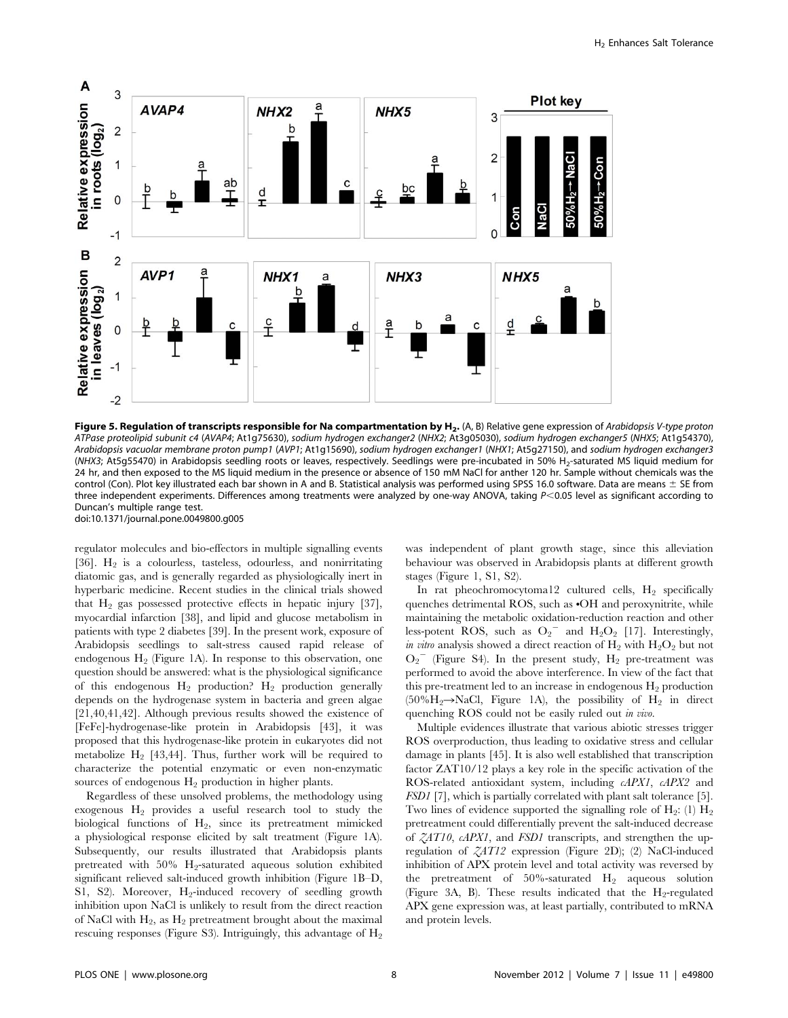

Figure 5. Regulation of transcripts responsible for Na compartmentation by  $H_2$ . (A, B) Relative gene expression of Arabidopsis V-type proton ATPase proteolipid subunit c4 (AVAP4; At1g75630), sodium hydrogen exchanger2 (NHX2; At3g05030), sodium hydrogen exchanger5 (NHX5; At1g54370), Arabidopsis vacuolar membrane proton pump1 (AVP1; At1g15690), sodium hydrogen exchanger1 (NHX1; At5g27150), and sodium hydrogen exchanger3 (NHX3; At5g55470) in Arabidopsis seedling roots or leaves, respectively. Seedlings were pre-incubated in 50% H2-saturated MS liquid medium for 24 hr, and then exposed to the MS liquid medium in the presence or absence of 150 mM NaCl for anther 120 hr. Sample without chemicals was the control (Con). Plot key illustrated each bar shown in A and B. Statistical analysis was performed using SPSS 16.0 software. Data are means  $\pm$  SE from three independent experiments. Differences among treatments were analyzed by one-way ANOVA, taking  $P< 0.05$  level as significant according to Duncan's multiple range test. doi:10.1371/journal.pone.0049800.g005

regulator molecules and bio-effectors in multiple signalling events [36].  $H_2$  is a colourless, tasteless, odourless, and nonirritating diatomic gas, and is generally regarded as physiologically inert in hyperbaric medicine. Recent studies in the clinical trials showed that  $H_2$  gas possessed protective effects in hepatic injury [37], myocardial infarction [38], and lipid and glucose metabolism in patients with type 2 diabetes [39]. In the present work, exposure of Arabidopsis seedlings to salt-stress caused rapid release of endogenous  $H_2$  (Figure 1A). In response to this observation, one question should be answered: what is the physiological significance of this endogenous  $H_2$  production?  $H_2$  production generally depends on the hydrogenase system in bacteria and green algae [21,40,41,42]. Although previous results showed the existence of [FeFe]-hydrogenase-like protein in Arabidopsis [43], it was proposed that this hydrogenase-like protein in eukaryotes did not metabolize  $H_2$  [43,44]. Thus, further work will be required to characterize the potential enzymatic or even non-enzymatic sources of endogenous  $H_2$  production in higher plants.

Regardless of these unsolved problems, the methodology using exogenous  $H_2$  provides a useful research tool to study the biological functions of  $H_2$ , since its pretreatment mimicked a physiological response elicited by salt treatment (Figure 1A). Subsequently, our results illustrated that Arabidopsis plants pretreated with 50% H2-saturated aqueous solution exhibited significant relieved salt-induced growth inhibition (Figure 1B–D, S1, S2). Moreover,  $H_2$ -induced recovery of seedling growth inhibition upon NaCl is unlikely to result from the direct reaction of NaCl with  $H_2$ , as  $H_2$  pretreatment brought about the maximal rescuing responses (Figure S3). Intriguingly, this advantage of  $H_2$  was independent of plant growth stage, since this alleviation behaviour was observed in Arabidopsis plants at different growth stages (Figure 1, S1, S2).

In rat pheochromocytoma12 cultured cells,  $H_2$  specifically quenches detrimental ROS, such as  $\cdot$ OH and peroxynitrite, while maintaining the metabolic oxidation-reduction reaction and other less-potent ROS, such as  $O_2$ <sup>-</sup> and H<sub>2</sub>O<sub>2</sub> [17]. Interestingly, in vitro analysis showed a direct reaction of  $H_2$  with  $H_2O_2$  but not  $O_2$ <sup>-</sup> (Figure S4). In the present study,  $H_2$  pre-treatment was performed to avoid the above interference. In view of the fact that this pre-treatment led to an increase in endogenous  $H_2$  production (50% $H_2 \rightarrow NaCl$ , Figure 1A), the possibility of  $H_2$  in direct quenching ROS could not be easily ruled out in vivo.

Multiple evidences illustrate that various abiotic stresses trigger ROS overproduction, thus leading to oxidative stress and cellular damage in plants [45]. It is also well established that transcription factor ZAT10/12 plays a key role in the specific activation of the ROS-related antioxidant system, including cAPX1, cAPX2 and FSD1 [7], which is partially correlated with plant salt tolerance [5]. Two lines of evidence supported the signalling role of  $H_2$ : (1)  $H_2$ pretreatment could differentially prevent the salt-induced decrease of ZAT10, cAPX1, and FSD1 transcripts, and strengthen the upregulation of ZAT12 expression (Figure 2D); (2) NaCl-induced inhibition of APX protein level and total activity was reversed by the pretreatment of  $50\%$ -saturated  $H_2$  aqueous solution (Figure 3A, B). These results indicated that the  $H_2$ -regulated APX gene expression was, at least partially, contributed to mRNA and protein levels.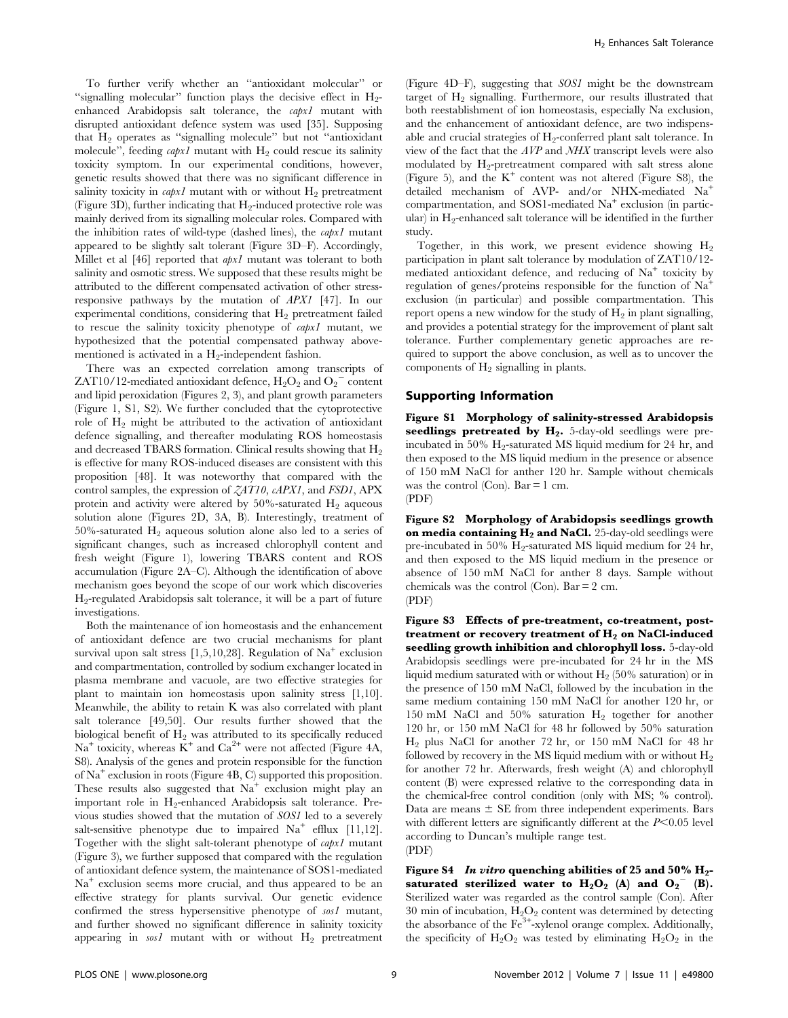To further verify whether an ''antioxidant molecular'' or "signalling molecular" function plays the decisive effect in  $H_2$ enhanced Arabidopsis salt tolerance, the capx1 mutant with disrupted antioxidant defence system was used [35]. Supposing that  $H_2$  operates as "signalling molecule" but not "antioxidant" molecule", feeding  $capx1$  mutant with  $H_2$  could rescue its salinity toxicity symptom. In our experimental conditions, however, genetic results showed that there was no significant difference in salinity toxicity in *capx1* mutant with or without  $H_2$  pretreatment (Figure 3D), further indicating that  $H_2$ -induced protective role was mainly derived from its signalling molecular roles. Compared with the inhibition rates of wild-type (dashed lines), the  $capx1$  mutant appeared to be slightly salt tolerant (Figure 3D–F). Accordingly, Millet et al [46] reported that *apx1* mutant was tolerant to both salinity and osmotic stress. We supposed that these results might be attributed to the different compensated activation of other stressresponsive pathways by the mutation of APX1 [47]. In our experimental conditions, considering that  $H_2$  pretreatment failed to rescue the salinity toxicity phenotype of capx1 mutant, we hypothesized that the potential compensated pathway abovementioned is activated in a  $H_2$ -independent fashion.

There was an expected correlation among transcripts of ZAT10/12-mediated antioxidant defence,  $H_2O_2$  and  $O_2$ <sup>-</sup> content and lipid peroxidation (Figures 2, 3), and plant growth parameters (Figure 1, S1, S2). We further concluded that the cytoprotective role of  $H_2$  might be attributed to the activation of antioxidant defence signalling, and thereafter modulating ROS homeostasis and decreased TBARS formation. Clinical results showing that  $H_2$ is effective for many ROS-induced diseases are consistent with this proposition [48]. It was noteworthy that compared with the control samples, the expression of  $ZAT10$ ,  $cAPX1$ , and  $FSD1$ ,  $APX$ protein and activity were altered by  $50\%$ -saturated  $H_2$  aqueous solution alone (Figures 2D, 3A, B). Interestingly, treatment of 50%-saturated  $H_2$  aqueous solution alone also led to a series of significant changes, such as increased chlorophyll content and fresh weight (Figure 1), lowering TBARS content and ROS accumulation (Figure 2A–C). Although the identification of above mechanism goes beyond the scope of our work which discoveries H2-regulated Arabidopsis salt tolerance, it will be a part of future investigations.

Both the maintenance of ion homeostasis and the enhancement of antioxidant defence are two crucial mechanisms for plant survival upon salt stress  $[1,5,10,28]$ . Regulation of Na<sup>+</sup> exclusion and compartmentation, controlled by sodium exchanger located in plasma membrane and vacuole, are two effective strategies for plant to maintain ion homeostasis upon salinity stress [1,10]. Meanwhile, the ability to retain K was also correlated with plant salt tolerance [49,50]. Our results further showed that the biological benefit of  $H_2$  was attributed to its specifically reduced  $Na<sup>+</sup>$  toxicity, whereas  $K<sup>+</sup>$  and  $Ca<sup>2+</sup>$  were not affected (Figure 4A, S8). Analysis of the genes and protein responsible for the function of  $Na<sup>+</sup>$  exclusion in roots (Figure 4B, C) supported this proposition. These results also suggested that  $Na<sup>+</sup>$  exclusion might play an important role in  $H_2$ -enhanced Arabidopsis salt tolerance. Previous studies showed that the mutation of SOS1 led to a severely salt-sensitive phenotype due to impaired  $Na<sup>+</sup>$  efflux [11,12]. Together with the slight salt-tolerant phenotype of capx1 mutant (Figure 3), we further supposed that compared with the regulation of antioxidant defence system, the maintenance of SOS1-mediated  $Na<sup>+</sup>$  exclusion seems more crucial, and thus appeared to be an effective strategy for plants survival. Our genetic evidence confirmed the stress hypersensitive phenotype of sos1 mutant, and further showed no significant difference in salinity toxicity appearing in  $ssI$  mutant with or without  $H<sub>2</sub>$  pretreatment (Figure 4D–F), suggesting that SOS1 might be the downstream target of  $H_2$  signalling. Furthermore, our results illustrated that both reestablishment of ion homeostasis, especially Na exclusion, and the enhancement of antioxidant defence, are two indispensable and crucial strategies of  $H_2$ -conferred plant salt tolerance. In view of the fact that the AVP and NHX transcript levels were also modulated by  $H_2$ -pretreatment compared with salt stress alone (Figure 5), and the  $K^+$  content was not altered (Figure S8), the detailed mechanism of AVP- and/or NHX-mediated Na<sup>+</sup> compartmentation, and SOS1-mediated  $Na<sup>+</sup>$  exclusion (in particular) in  $H_2$ -enhanced salt tolerance will be identified in the further study.

Together, in this work, we present evidence showing  $H_2$ participation in plant salt tolerance by modulation of ZAT10/12 mediated antioxidant defence, and reducing of  $Na<sup>+</sup>$  toxicity by regulation of genes/proteins responsible for the function of  $Na<sup>+</sup>$ exclusion (in particular) and possible compartmentation. This report opens a new window for the study of  $H_2$  in plant signalling, and provides a potential strategy for the improvement of plant salt tolerance. Further complementary genetic approaches are required to support the above conclusion, as well as to uncover the components of  $H_2$  signalling in plants.

#### Supporting Information

Figure S1 Morphology of salinity-stressed Arabidopsis seedlings pretreated by  $H_2$ . 5-day-old seedlings were preincubated in 50%  $H_2$ -saturated MS liquid medium for 24 hr, and then exposed to the MS liquid medium in the presence or absence of 150 mM NaCl for anther 120 hr. Sample without chemicals was the control (Con). Bar  $= 1$  cm. (PDF)

Figure S2 Morphology of Arabidopsis seedlings growth on media containing  $H_2$  and NaCl. 25-day-old seedlings were pre-incubated in 50%  $H_2$ -saturated MS liquid medium for 24 hr, and then exposed to the MS liquid medium in the presence or absence of 150 mM NaCl for anther 8 days. Sample without chemicals was the control (Con).  $Bar = 2$  cm. (PDF)

Figure S3 Effects of pre-treatment, co-treatment, posttreatment or recovery treatment of  $H_2$  on NaCl-induced seedling growth inhibition and chlorophyll loss. 5-day-old Arabidopsis seedlings were pre-incubated for 24 hr in the MS liquid medium saturated with or without  $H_2$  (50% saturation) or in the presence of 150 mM NaCl, followed by the incubation in the same medium containing 150 mM NaCl for another 120 hr, or 150 mM NaCl and 50% saturation  $H_2$  together for another 120 hr, or 150 mM NaCl for 48 hr followed by 50% saturation H2 plus NaCl for another 72 hr, or 150 mM NaCl for 48 hr followed by recovery in the MS liquid medium with or without  $H_2$ for another 72 hr. Afterwards, fresh weight (A) and chlorophyll content (B) were expressed relative to the corresponding data in the chemical-free control condition (only with MS; % control). Data are means  $\pm$  SE from three independent experiments. Bars with different letters are significantly different at the  $P<0.05$  level according to Duncan's multiple range test. (PDF)

Figure S4 In vitro quenching abilities of 25 and 50%  $H_2$ saturated sterilized water to  $H_2O_2$  (A) and  $O_2$ <sup>-</sup> (B). Sterilized water was regarded as the control sample (Con). After 30 min of incubation,  $H_2O_2$  content was determined by detecting the absorbance of the Fe<sup>3+</sup>-xylenol orange complex. Additionally, the specificity of  $H_2O_2$  was tested by eliminating  $H_2O_2$  in the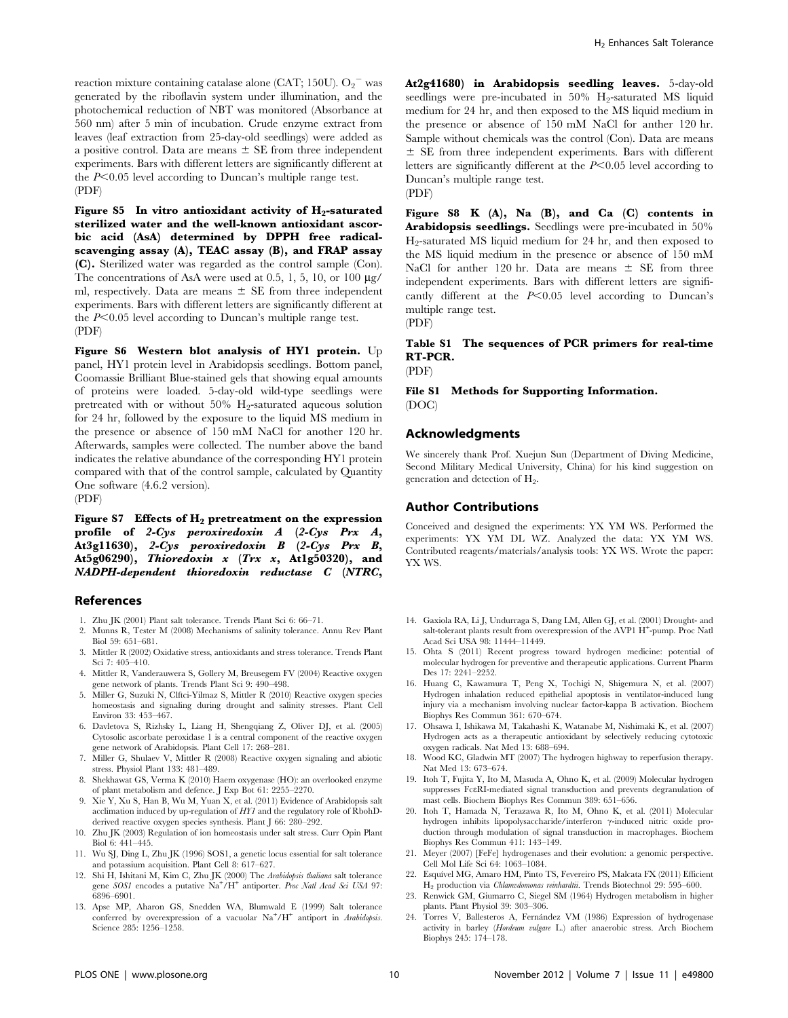reaction mixture containing catalase alone (CAT; 150U).  $O_2$ <sup>-</sup> was generated by the riboflavin system under illumination, and the photochemical reduction of NBT was monitored (Absorbance at 560 nm) after 5 min of incubation. Crude enzyme extract from leaves (leaf extraction from 25-day-old seedlings) were added as a positive control. Data are means  $\pm$  SE from three independent experiments. Bars with different letters are significantly different at the  $P<0.05$  level according to Duncan's multiple range test. (PDF)

Figure S5 In vitro antioxidant activity of  $H_2$ -saturated sterilized water and the well-known antioxidant ascorbic acid (AsA) determined by DPPH free radicalscavenging assay (A), TEAC assay (B), and FRAP assay (C). Sterilized water was regarded as the control sample (Con). The concentrations of AsA were used at 0.5, 1, 5, 10, or 100  $\mu$ g/ ml, respectively. Data are means  $\pm$  SE from three independent experiments. Bars with different letters are significantly different at the  $P<0.05$  level according to Duncan's multiple range test. (PDF)

Figure S6 Western blot analysis of HY1 protein. Up panel, HY1 protein level in Arabidopsis seedlings. Bottom panel, Coomassie Brilliant Blue-stained gels that showing equal amounts of proteins were loaded. 5-day-old wild-type seedlings were pretreated with or without  $50\%$  H<sub>2</sub>-saturated aqueous solution for 24 hr, followed by the exposure to the liquid MS medium in the presence or absence of 150 mM NaCl for another 120 hr. Afterwards, samples were collected. The number above the band indicates the relative abundance of the corresponding HY1 protein compared with that of the control sample, calculated by Quantity One software (4.6.2 version). (PDF)

Figure S7 Effects of  $H_2$  pretreatment on the expression profile of 2- $Cys$  peroxiredoxin  $A$  (2- $Cys$  Prx  $A$ , At3g11630), 2-Cys peroxiredoxin B (2-Cys Prx B, At5g06290), Thioredoxin  $x$  (Trx  $x$ , At1g50320), and NADPH-dependent thioredoxin reductase C (NTRC,

#### References

- 1. Zhu JK (2001) Plant salt tolerance. Trends Plant Sci 6: 66–71.
- 2. Munns R, Tester M (2008) Mechanisms of salinity tolerance. Annu Rev Plant Biol 59: 651–681.
- 3. Mittler R (2002) Oxidative stress, antioxidants and stress tolerance. Trends Plant Sci 7: 405–410.
- 4. Mittler R, Vanderauwera S, Gollery M, Breusegem FV (2004) Reactive oxygen gene network of plants. Trends Plant Sci 9: 490–498.
- 5. Miller G, Suzuki N, Clftci-Yilmaz S, Mittler R (2010) Reactive oxygen species homeostasis and signaling during drought and salinity stresses. Plant Cell Environ 33: 453–467.
- 6. Davletova S, Rizhsky L, Liang H, Shengqiang Z, Oliver DJ, et al. (2005) Cytosolic ascorbate peroxidase 1 is a central component of the reactive oxygen gene network of Arabidopsis. Plant Cell 17: 268–281.
- 7. Miller G, Shulaev V, Mittler R (2008) Reactive oxygen signaling and abiotic stress. Physiol Plant 133: 481–489.
- 8. Shekhawat GS, Verma K (2010) Haem oxygenase (HO): an overlooked enzyme of plant metabolism and defence. J Exp Bot 61: 2255–2270.
- 9. Xie Y, Xu S, Han B, Wu M, Yuan X, et al. (2011) Evidence of Arabidopsis salt acclimation induced by up-regulation of HY1 and the regulatory role of RbohDderived reactive oxygen species synthesis. Plant J 66: 280–292.
- 10. Zhu JK (2003) Regulation of ion homeostasis under salt stress. Curr Opin Plant Biol 6: 441–445.
- 11. Wu SJ, Ding L, Zhu JK (1996) SOS1, a genetic locus essential for salt tolerance and potassium acquisition. Plant Cell 8: 617–627.
- 12. Shi H, Ishitani M, Kim C, Zhu JK (2000) The Arabidopsis thaliana salt tolerance gene SOS1 encodes a putative Na<sup>+</sup>/H<sup>+</sup> antiporter. Proc Natl Acad Sci USA 97: 6896–6901.
- 13. Apse MP, Aharon GS, Snedden WA, Blumwald E (1999) Salt tolerance conferred by overexpression of a vacuolar  $\mathrm{Na^+}/\mathrm{H^+}$  antiport in Arabidopsis. Science 285: 1256–1258.

At2g41680) in Arabidopsis seedling leaves. 5-day-old seedlings were pre-incubated in  $50\%$  H<sub>2</sub>-saturated MS liquid medium for 24 hr, and then exposed to the MS liquid medium in the presence or absence of 150 mM NaCl for anther 120 hr. Sample without chemicals was the control (Con). Data are means  $\pm$  SE from three independent experiments. Bars with different letters are significantly different at the  $P<0.05$  level according to Duncan's multiple range test.

(PDF)

Figure S8 K  $(A)$ , Na  $(B)$ , and Ca  $(C)$  contents in Arabidopsis seedlings. Seedlings were pre-incubated in 50% H<sub>2</sub>-saturated MS liquid medium for 24 hr, and then exposed to the MS liquid medium in the presence or absence of 150 mM NaCl for anther 120 hr. Data are means  $\pm$  SE from three independent experiments. Bars with different letters are significantly different at the  $P<0.05$  level according to Duncan's multiple range test.

(PDF)

# Table S1 The sequences of PCR primers for real-time RT-PCR.

(PDF)

File S1 Methods for Supporting Information. (DOC)

## Acknowledgments

We sincerely thank Prof. Xuejun Sun (Department of Diving Medicine, Second Military Medical University, China) for his kind suggestion on generation and detection of H<sub>2</sub>.

## Author Contributions

Conceived and designed the experiments: YX YM WS. Performed the experiments: YX YM DL WZ. Analyzed the data: YX YM WS. Contributed reagents/materials/analysis tools: YX WS. Wrote the paper: YX WS.

- 14. Gaxiola RA, Li J, Undurraga S, Dang LM, Allen GJ, et al. (2001) Drought- and salt-tolerant plants result from overexpression of the AVP1 H<sup>+</sup>-pump. Proc Natl Acad Sci USA 98: 11444–11449.
- 15. Ohta S (2011) Recent progress toward hydrogen medicine: potential of molecular hydrogen for preventive and therapeutic applications. Current Pharm Des 17: 2241–2252.
- 16. Huang C, Kawamura T, Peng X, Tochigi N, Shigemura N, et al. (2007) Hydrogen inhalation reduced epithelial apoptosis in ventilator-induced lung injury via a mechanism involving nuclear factor-kappa B activation. Biochem Biophys Res Commun 361: 670–674.
- 17. Ohsawa I, Ishikawa M, Takahashi K, Watanabe M, Nishimaki K, et al. (2007) Hydrogen acts as a therapeutic antioxidant by selectively reducing cytotoxic oxygen radicals. Nat Med 13: 688–694.
- 18. Wood KC, Gladwin MT (2007) The hydrogen highway to reperfusion therapy. Nat Med 13: 673–674.
- 19. Itoh T, Fujita Y, Ito M, Masuda A, Ohno K, et al. (2009) Molecular hydrogen suppresses FceRI-mediated signal transduction and prevents degranulation of mast cells. Biochem Biophys Res Commun 389: 651–656.
- 20. Itoh T, Hamada N, Terazawa R, Ito M, Ohno K, et al. (2011) Molecular hydrogen inhibits lipopolysaccharide/interferon γ-induced nitric oxide production through modulation of signal transduction in macrophages. Biochem Biophys Res Commun 411: 143–149.
- 21. Meyer (2007) [FeFe] hydrogenases and their evolution: a genomic perspective. Cell Mol Life Sci 64: 1063–1084.
- 22. Esquível MG, Amaro HM, Pinto TS, Fevereiro PS, Malcata FX (2011) Efficient H2 production via Chlamvdomonas reinhardtii. Trends Biotechnol 29: 595–600.
- 23. Renwick GM, Giumarro C, Siegel SM (1964) Hydrogen metabolism in higher plants. Plant Physiol 39: 303–306.
- 24. Torres V, Ballesteros A, Fernández VM (1986) Expression of hydrogenase activity in barley (Hordeum vulgare L.) after anaerobic stress. Arch Biochem Biophys 245: 174–178.